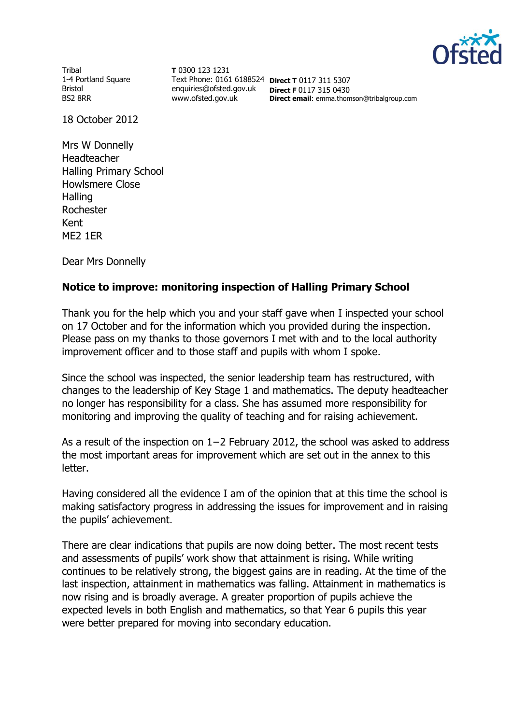

Tribal 1-4 Portland Square Bristol BS2 8RR

**T** 0300 123 1231 Text Phone: 0161 6188524 **Direct T** 0117 311 5307 enquiries@ofsted.gov.uk **Direct F** 0117 315 0430 www.ofsted.gov.uk

**Direct email**: emma.thomson@tribalgroup.com

18 October 2012

Mrs W Donnelly Headteacher Halling Primary School Howlsmere Close **Halling** Rochester Kent ME2 1ER

Dear Mrs Donnelly

## **Notice to improve: monitoring inspection of Halling Primary School**

Thank you for the help which you and your staff gave when I inspected your school on 17 October and for the information which you provided during the inspection. Please pass on my thanks to those governors I met with and to the local authority improvement officer and to those staff and pupils with whom I spoke.

Since the school was inspected, the senior leadership team has restructured, with changes to the leadership of Key Stage 1 and mathematics. The deputy headteacher no longer has responsibility for a class. She has assumed more responsibility for monitoring and improving the quality of teaching and for raising achievement.

As a result of the inspection on 1−2 February 2012, the school was asked to address the most important areas for improvement which are set out in the annex to this letter.

Having considered all the evidence I am of the opinion that at this time the school is making satisfactory progress in addressing the issues for improvement and in raising the pupils' achievement.

There are clear indications that pupils are now doing better. The most recent tests and assessments of pupils' work show that attainment is rising. While writing continues to be relatively strong, the biggest gains are in reading. At the time of the last inspection, attainment in mathematics was falling. Attainment in mathematics is now rising and is broadly average. A greater proportion of pupils achieve the expected levels in both English and mathematics, so that Year 6 pupils this year were better prepared for moving into secondary education.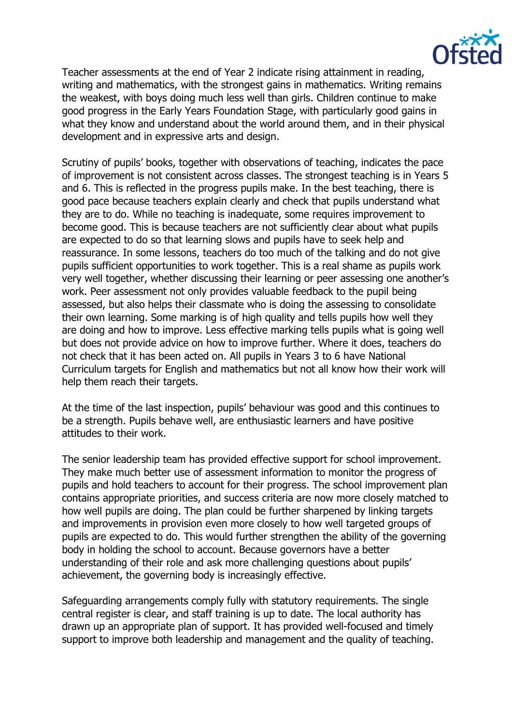

Teacher assessments at the end of Year 2 indicate rising attainment in reading, writing and mathematics, with the strongest gains in mathematics. Writing remains the weakest, with boys doing much less well than girls. Children continue to make good progress in the Early Years Foundation Stage, with particularly good gains in what they know and understand about the world around them, and in their physical development and in expressive arts and design.

Scrutiny of pupils' books, together with observations of teaching, indicates the pace of improvement is not consistent across classes. The strongest teaching is in Years 5 and 6. This is reflected in the progress pupils make. In the best teaching, there is good pace because teachers explain clearly and check that pupils understand what they are to do. While no teaching is inadequate, some requires improvement to become good. This is because teachers are not sufficiently clear about what pupils are expected to do so that learning slows and pupils have to seek help and reassurance. In some lessons, teachers do too much of the talking and do not give pupils sufficient opportunities to work together. This is a real shame as pupils work very well together, whether discussing their learning or peer assessing one another's work. Peer assessment not only provides valuable feedback to the pupil being assessed, but also helps their classmate who is doing the assessing to consolidate their own learning. Some marking is of high quality and tells pupils how well they are doing and how to improve. Less effective marking tells pupils what is going well but does not provide advice on how to improve further. Where it does, teachers do not check that it has been acted on. All pupils in Years 3 to 6 have National Curriculum targets for English and mathematics but not all know how their work will help them reach their targets.

At the time of the last inspection, pupils' behaviour was good and this continues to be a strength. Pupils behave well, are enthusiastic learners and have positive attitudes to their work.

The senior leadership team has provided effective support for school improvement. They make much better use of assessment information to monitor the progress of pupils and hold teachers to account for their progress. The school improvement plan contains appropriate priorities, and success criteria are now more closely matched to how well pupils are doing. The plan could be further sharpened by linking targets and improvements in provision even more closely to how well targeted groups of pupils are expected to do. This would further strengthen the ability of the governing body in holding the school to account. Because governors have a better understanding of their role and ask more challenging questions about pupils' achievement, the governing body is increasingly effective.

Safeguarding arrangements comply fully with statutory requirements. The single central register is clear, and staff training is up to date. The local authority has drawn up an appropriate plan of support. It has provided well-focused and timely support to improve both leadership and management and the quality of teaching.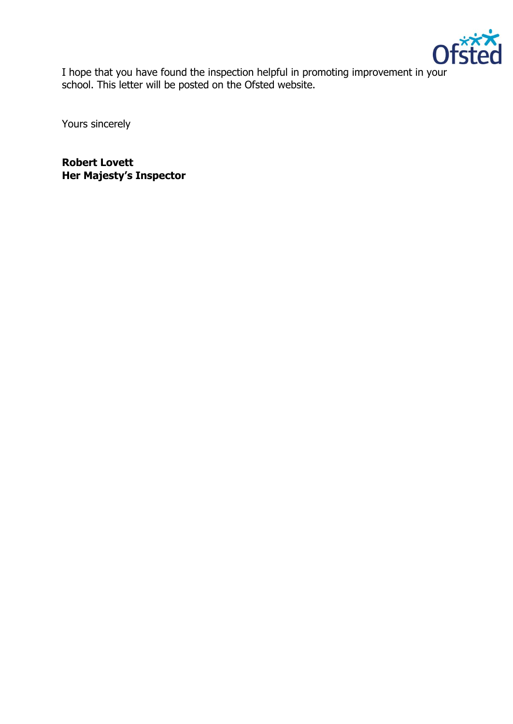

I hope that you have found the inspection helpful in promoting improvement in your school. This letter will be posted on the Ofsted website.

Yours sincerely

**Robert Lovett Her Majesty's Inspector**